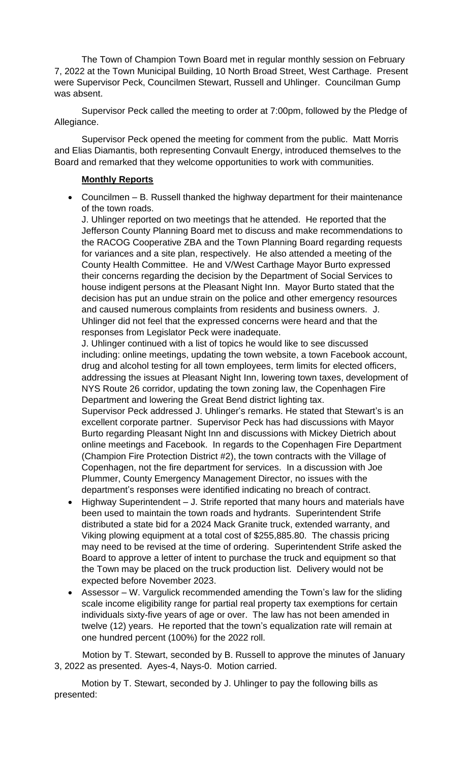The Town of Champion Town Board met in regular monthly session on February 7, 2022 at the Town Municipal Building, 10 North Broad Street, West Carthage. Present were Supervisor Peck, Councilmen Stewart, Russell and Uhlinger. Councilman Gump was absent.

Supervisor Peck called the meeting to order at 7:00pm, followed by the Pledge of Allegiance.

Supervisor Peck opened the meeting for comment from the public. Matt Morris and Elias Diamantis, both representing Convault Energy, introduced themselves to the Board and remarked that they welcome opportunities to work with communities.

## **Monthly Reports**

• Councilmen – B. Russell thanked the highway department for their maintenance of the town roads.

J. Uhlinger reported on two meetings that he attended. He reported that the Jefferson County Planning Board met to discuss and make recommendations to the RACOG Cooperative ZBA and the Town Planning Board regarding requests for variances and a site plan, respectively. He also attended a meeting of the County Health Committee. He and V/West Carthage Mayor Burto expressed their concerns regarding the decision by the Department of Social Services to house indigent persons at the Pleasant Night Inn. Mayor Burto stated that the decision has put an undue strain on the police and other emergency resources and caused numerous complaints from residents and business owners. J. Uhlinger did not feel that the expressed concerns were heard and that the responses from Legislator Peck were inadequate.

J. Uhlinger continued with a list of topics he would like to see discussed including: online meetings, updating the town website, a town Facebook account, drug and alcohol testing for all town employees, term limits for elected officers, addressing the issues at Pleasant Night Inn, lowering town taxes, development of NYS Route 26 corridor, updating the town zoning law, the Copenhagen Fire Department and lowering the Great Bend district lighting tax.

Supervisor Peck addressed J. Uhlinger's remarks. He stated that Stewart's is an excellent corporate partner. Supervisor Peck has had discussions with Mayor Burto regarding Pleasant Night Inn and discussions with Mickey Dietrich about online meetings and Facebook. In regards to the Copenhagen Fire Department (Champion Fire Protection District #2), the town contracts with the Village of Copenhagen, not the fire department for services. In a discussion with Joe Plummer, County Emergency Management Director, no issues with the department's responses were identified indicating no breach of contract.

- Highway Superintendent J. Strife reported that many hours and materials have been used to maintain the town roads and hydrants. Superintendent Strife distributed a state bid for a 2024 Mack Granite truck, extended warranty, and Viking plowing equipment at a total cost of \$255,885.80. The chassis pricing may need to be revised at the time of ordering. Superintendent Strife asked the Board to approve a letter of intent to purchase the truck and equipment so that the Town may be placed on the truck production list. Delivery would not be expected before November 2023.
- Assessor W. Vargulick recommended amending the Town's law for the sliding scale income eligibility range for partial real property tax exemptions for certain individuals sixty-five years of age or over. The law has not been amended in twelve (12) years. He reported that the town's equalization rate will remain at one hundred percent (100%) for the 2022 roll.

 Motion by T. Stewart, seconded by B. Russell to approve the minutes of January 3, 2022 as presented. Ayes-4, Nays-0. Motion carried.

Motion by T. Stewart, seconded by J. Uhlinger to pay the following bills as presented: